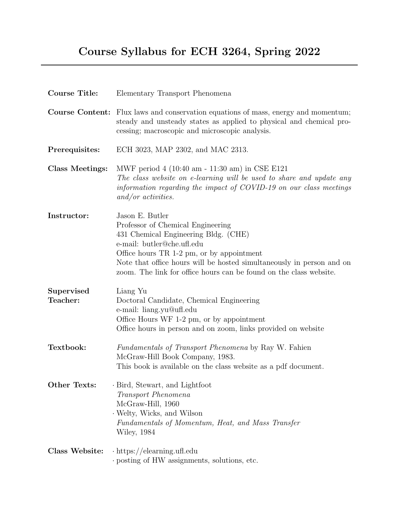## Course Syllabus for ECH 3264, Spring 2022

| <b>Course Title:</b>   | Elementary Transport Phenomena                                                                                                                                                                                                                                                                                         |
|------------------------|------------------------------------------------------------------------------------------------------------------------------------------------------------------------------------------------------------------------------------------------------------------------------------------------------------------------|
|                        | <b>Course Content:</b> Flux laws and conservation equations of mass, energy and momentum;<br>steady and unsteady states as applied to physical and chemical pro-<br>cessing; macroscopic and microscopic analysis.                                                                                                     |
| Prerequisites:         | ECH 3023, MAP 2302, and MAC 2313.                                                                                                                                                                                                                                                                                      |
| Class Meetings:        | MWF period 4 (10:40 am - 11:30 am) in CSE E121<br>The class website on e-learning will be used to share and update any<br>information regarding the impact of COVID-19 on our class meetings<br>$and/or$ activities.                                                                                                   |
| Instructor:            | Jason E. Butler<br>Professor of Chemical Engineering<br>431 Chemical Engineering Bldg. (CHE)<br>e-mail: butler@che.ufl.edu<br>Office hours TR 1-2 pm, or by appointment<br>Note that office hours will be hosted simultaneously in person and on<br>zoom. The link for office hours can be found on the class website. |
| Supervised<br>Teacher: | Liang Yu<br>Doctoral Candidate, Chemical Engineering<br>e-mail: liang.yu@ufl.edu<br>Office Hours WF 1-2 pm, or by appointment<br>Office hours in person and on zoom, links provided on website                                                                                                                         |
| Textbook:              | <i>Fundamentals of Transport Phenomena</i> by Ray W. Fahien<br>McGraw-Hill Book Company, 1983.<br>This book is available on the class website as a pdf document.                                                                                                                                                       |
| <b>Other Texts:</b>    | · Bird, Stewart, and Lightfoot<br>Transport Phenomena<br>McGraw-Hill, 1960<br>Welty, Wicks, and Wilson<br>Fundamentals of Momentum, Heat, and Mass Transfer<br><b>Wiley, 1984</b>                                                                                                                                      |
| Class Website:         | $\cdot$ https://elearning.ufl.edu<br>posting of HW assignments, solutions, etc.                                                                                                                                                                                                                                        |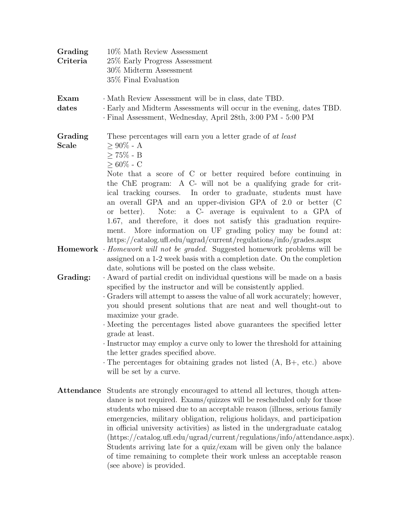| Grading<br>Criteria     | 10\% Math Review Assessment<br>25% Early Progress Assessment<br>30% Midterm Assessment<br>35% Final Evaluation                                                                                                                                                                                                                                                                                                                                                                                                                                                                                                                                                    |
|-------------------------|-------------------------------------------------------------------------------------------------------------------------------------------------------------------------------------------------------------------------------------------------------------------------------------------------------------------------------------------------------------------------------------------------------------------------------------------------------------------------------------------------------------------------------------------------------------------------------------------------------------------------------------------------------------------|
| Exam<br>dates           | · Math Review Assessment will be in class, date TBD.<br>Early and Midterm Assessments will occur in the evening, dates TBD.<br>· Final Assessment, Wednesday, April 28th, 3:00 PM - 5:00 PM                                                                                                                                                                                                                                                                                                                                                                                                                                                                       |
| Grading<br><b>Scale</b> | These percentages will earn you a letter grade of at least<br>$\geq 90\%$ - A<br>$\geq 75\%$ - B<br>$> 60\%$ - C<br>Note that a score of C or better required before continuing in<br>the ChE program: A C- will not be a qualifying grade for crit-<br>ical tracking courses. In order to graduate, students must have<br>an overall GPA and an upper-division GPA of 2.0 or better (C<br>Note: a C- average is equivalent to a GPA of<br>or better).<br>1.67, and therefore, it does not satisfy this graduation require-<br>ment. More information on UF grading policy may be found at:<br>https://catalog.ufl.edu/ugrad/current/regulations/info/grades.aspx |
|                         | <b>Homework</b> $\cdot$ <i>Homework will not be graded.</i> Suggested homework problems will be<br>assigned on a 1-2 week basis with a completion date. On the completion<br>date, solutions will be posted on the class website.                                                                                                                                                                                                                                                                                                                                                                                                                                 |
| Grading:                | · Award of partial credit on individual questions will be made on a basis<br>specified by the instructor and will be consistently applied.<br>Graders will attempt to assess the value of all work accurately; however,<br>you should present solutions that are neat and well thought-out to<br>maximize your grade.<br>Meeting the percentages listed above guarantees the specified letter<br>grade at least.<br>· Instructor may employ a curve only to lower the threshold for attaining<br>the letter grades specified above.<br>The percentages for obtaining grades not listed $(A, B+, etc.)$ above<br>will be set by a curve.                           |
| Attendance              | Students are strongly encouraged to attend all lectures, though atten-<br>dance is not required. Exams/quizzes will be rescheduled only for those<br>students who missed due to an acceptable reason (illness, serious family<br>emergencies, military obligation, religious holidays, and participation<br>in official university activities) as listed in the undergraduate catalog<br>$(\text{https://catalog.ufl.edu/ugrad/current/regulations/info/attendance.aspx}).$<br>Students arriving late for a quiz/exam will be given only the balance<br>of time remaining to complete their work unless an acceptable reason<br>(see above) is provided.          |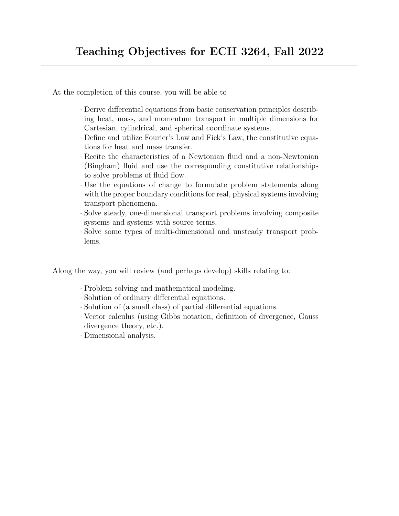At the completion of this course, you will be able to

- · Derive differential equations from basic conservation principles describing heat, mass, and momentum transport in multiple dimensions for Cartesian, cylindrical, and spherical coordinate systems.
- · Define and utilize Fourier's Law and Fick's Law, the constitutive equations for heat and mass transfer.
- · Recite the characteristics of a Newtonian fluid and a non-Newtonian (Bingham) fluid and use the corresponding constitutive relationships to solve problems of fluid flow.
- · Use the equations of change to formulate problem statements along with the proper boundary conditions for real, physical systems involving transport phenomena.
- · Solve steady, one-dimensional transport problems involving composite systems and systems with source terms.
- · Solve some types of multi-dimensional and unsteady transport problems.

Along the way, you will review (and perhaps develop) skills relating to:

- · Problem solving and mathematical modeling.
- · Solution of ordinary differential equations.
- · Solution of (a small class) of partial differential equations.
- · Vector calculus (using Gibbs notation, definition of divergence, Gauss divergence theory, etc.).
- · Dimensional analysis.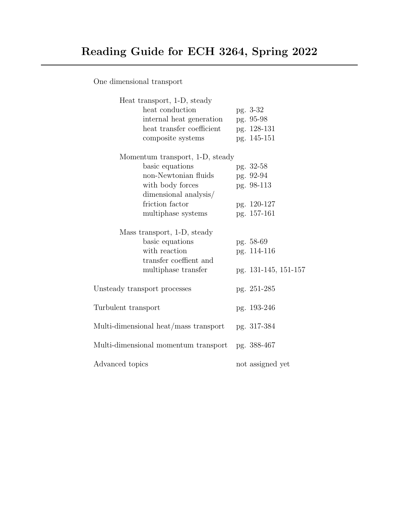One dimensional transport

| Heat transport, 1-D, steady           |                      |
|---------------------------------------|----------------------|
| heat conduction                       | pg. 3-32             |
| internal heat generation              | pg. 95-98            |
| heat transfer coefficient             | pg. 128-131          |
| composite systems                     | pg. 145-151          |
| Momentum transport, 1-D, steady       |                      |
| basic equations                       | pg. 32-58            |
| non-Newtonian fluids                  | pg. 92-94            |
| with body forces                      | pg. 98-113           |
| dimensional analysis/                 |                      |
| friction factor                       | pg. 120-127          |
| multiphase systems                    | pg. 157-161          |
| Mass transport, 1-D, steady           |                      |
| basic equations                       | pg. 58-69            |
| with reaction                         | pg. 114-116          |
| transfer coeffient and                |                      |
| multiphase transfer                   | pg. 131-145, 151-157 |
| Unsteady transport processes          | pg. 251-285          |
| Turbulent transport                   | pg. 193-246          |
| Multi-dimensional heat/mass transport | pg. 317-384          |
| Multi-dimensional momentum transport  | pg. 388-467          |
| Advanced topics                       | not assigned yet     |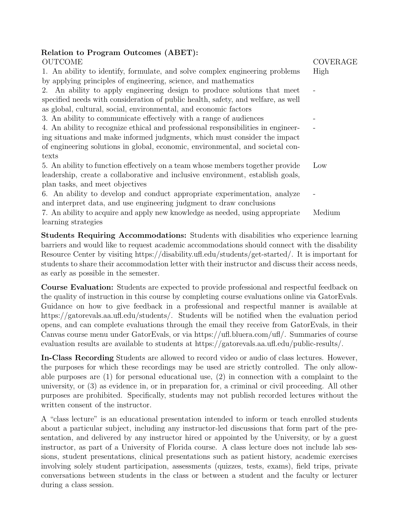## Relation to Program Outcomes (ABET):

| <b>OUTCOME</b>                                                                    | <b>COVERAGE</b> |
|-----------------------------------------------------------------------------------|-----------------|
| 1. An ability to identify, formulate, and solve complex engineering problems      | High            |
| by applying principles of engineering, science, and mathematics                   |                 |
| 2. An ability to apply engineering design to produce solutions that meet          |                 |
| specified needs with consideration of public health, safety, and welfare, as well |                 |
| as global, cultural, social, environmental, and economic factors                  |                 |
| 3. An ability to communicate effectively with a range of audiences                |                 |
| 4. An ability to recognize ethical and professional responsibilities in engineer- |                 |
| ing situations and make informed judgments, which must consider the impact        |                 |
| of engineering solutions in global, economic, environmental, and societal con-    |                 |
| texts                                                                             |                 |
| 5. An ability to function effectively on a team whose members together provide    | Low             |
| leadership, create a collaborative and inclusive environment, establish goals,    |                 |
| plan tasks, and meet objectives                                                   |                 |
| 6. An ability to develop and conduct appropriate experimentation, analyze         |                 |
| and interpret data, and use engineering judgment to draw conclusions              |                 |
| 7. An ability to acquire and apply new knowledge as needed, using appropriate     | Medium          |
| learning strategies                                                               |                 |

Students Requiring Accommodations: Students with disabilities who experience learning barriers and would like to request academic accommodations should connect with the disability Resource Center by visiting https://disability.ufl.edu/students/get-started/. It is important for students to share their accommodation letter with their instructor and discuss their access needs, as early as possible in the semester.

Course Evaluation: Students are expected to provide professional and respectful feedback on the quality of instruction in this course by completing course evaluations online via GatorEvals. Guidance on how to give feedback in a professional and respectful manner is available at https://gatorevals.aa.ufl.edu/students/. Students will be notified when the evaluation period opens, and can complete evaluations through the email they receive from GatorEvals, in their Canvas course menu under GatorEvals, or via https://ufl.bluera.com/ufl/. Summaries of course evaluation results are available to students at https://gatorevals.aa.ufl.edu/public-results/.

In-Class Recording Students are allowed to record video or audio of class lectures. However, the purposes for which these recordings may be used are strictly controlled. The only allowable purposes are (1) for personal educational use, (2) in connection with a complaint to the university, or (3) as evidence in, or in preparation for, a criminal or civil proceeding. All other purposes are prohibited. Specifically, students may not publish recorded lectures without the written consent of the instructor.

A "class lecture" is an educational presentation intended to inform or teach enrolled students about a particular subject, including any instructor-led discussions that form part of the presentation, and delivered by any instructor hired or appointed by the University, or by a guest instructor, as part of a University of Florida course. A class lecture does not include lab sessions, student presentations, clinical presentations such as patient history, academic exercises involving solely student participation, assessments (quizzes, tests, exams), field trips, private conversations between students in the class or between a student and the faculty or lecturer during a class session.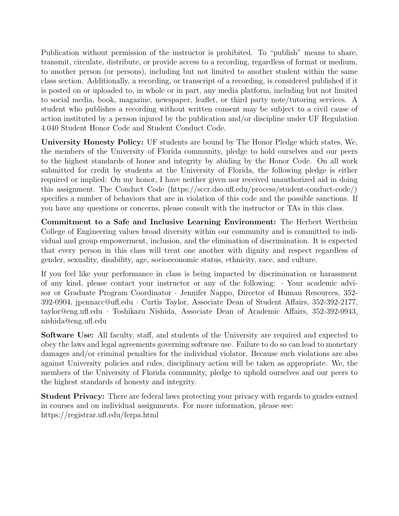Publication without permission of the instructor is prohibited. To "publish" means to share, transmit, circulate, distribute, or provide access to a recording, regardless of format or medium, to another person (or persons), including but not limited to another student within the same class section. Additionally, a recording, or transcript of a recording, is considered published if it is posted on or uploaded to, in whole or in part, any media platform, including but not limited to social media, book, magazine, newspaper, leaflet, or third party note/tutoring services. A student who publishes a recording without written consent may be subject to a civil cause of action instituted by a person injured by the publication and/or discipline under UF Regulation 4.040 Student Honor Code and Student Conduct Code.

University Honesty Policy: UF students are bound by The Honor Pledge which states, We, the members of the University of Florida community, pledge to hold ourselves and our peers to the highest standards of honor and integrity by abiding by the Honor Code. On all work submitted for credit by students at the University of Florida, the following pledge is either required or implied: On my honor, I have neither given nor received unauthorized aid in doing this assignment. The Conduct Code (https://sccr.dso.ufl.edu/process/student-conduct-code/) specifies a number of behaviors that are in violation of this code and the possible sanctions. If you have any questions or concerns, please consult with the instructor or TAs in this class.

Commitment to a Safe and Inclusive Learning Environment: The Herbert Wertheim College of Engineering values broad diversity within our community and is committed to individual and group empowerment, inclusion, and the elimination of discrimination. It is expected that every person in this class will treat one another with dignity and respect regardless of gender, sexuality, disability, age, socioeconomic status, ethnicity, race, and culture.

If you feel like your performance in class is being impacted by discrimination or harassment of any kind, please contact your instructor or any of the following: · Your academic advisor or Graduate Program Coordinator · Jennifer Nappo, Director of Human Resources, 352- 392-0904, jpennacc@ufl.edu · Curtis Taylor, Associate Dean of Student Affairs, 352-392-2177, taylor@eng.ufl.edu · Toshikazu Nishida, Associate Dean of Academic Affairs, 352-392-0943, nishida@eng.ufl.edu

Software Use: All faculty, staff, and students of the University are required and expected to obey the laws and legal agreements governing software use. Failure to do so can lead to monetary damages and/or criminal penalties for the individual violator. Because such violations are also against University policies and rules, disciplinary action will be taken as appropriate. We, the members of the University of Florida community, pledge to uphold ourselves and our peers to the highest standards of honesty and integrity.

Student Privacy: There are federal laws protecting your privacy with regards to grades earned in courses and on individual assignments. For more information, please see: https://registrar.ufl.edu/ferpa.html